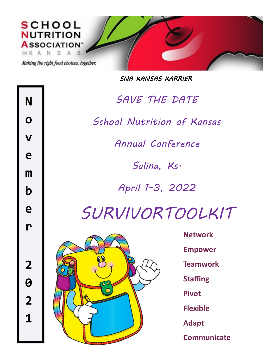

*SNA KANSAS KARRIER* 



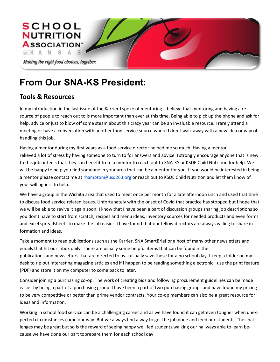

# **From Our SNA-KS President:**

## **Tools & Resources**

In my introduction in the last issue of the Karrier I spoke of mentoring. I believe that mentoring and having a resource of people to reach out to is more important than ever at this time. Being able to pick up the phone and ask for help, advice or just to blow off some steam about this crazy year can be an invaluable resource. I rarely attend a meeting or have a conversation with another food service source where I don't walk away with a new idea or way of handling this job.

Having a mentor during my first years as a food service director helped me so much. Having a mentor relieved a lot of stress by having someone to turn to for answers and advice. I strongly encourage anyone that is new to this job or feels that they can benefit from a mentor to reach out to SNA-KS or KSDE Child Nutrition for help. We will be happy to help you find someone in your area that can be a mentor for you. If you would be interested in being a mentor please contact me at rhampton@usd263.org or reach out to KSDE Child Nutrition and let them know of your willingness to help.

We have a group in the Wichita area that used to meet once per month for a late afternoon unch and used that time to discuss food service related issues. Unfortunately with the onset of Covid that practice has stopped but I hope that we will be able to revive it again soon. I know that I have been a part of discussion groups sharing job descriptions so you don't have to start from scratch, recipes and menu ideas, inventory sources for needed products and even forms and excel spreadsheets to make the job easier. I have found that our fellow directors are always willing to share information and ideas.

Take a moment to read publications such as the Karrier, SNA SmartBrief or a host of many other newsletters and emails that hit our inbox daily. There are usually some helpful items that can be found in the publications and newsletters that are directed to us. I usually save these for a no school day. I keep a folder on my desk to rip out interesting magazine articles and if I happen to be reading something electronic I use the print feature (PDF) and store it on my computer to come back to later.

Consider joining a purchasing co-op. The work of creating bids and following procurement guidelines can be made easier by being a part of a purchasing group. I have been a part of two purchasing groups and have found my pricing to be very competitive or better than prime vendor contracts. Your co-op members can also be a great resource for ideas and information.

Working in school food service can be a challenging career and as we have found it can get even tougher when unexpected circumstances come our way. But we always find a way to get the job done and feed our students. The challenges may be great but so is the reward of seeing happy well fed students walking our hallways able to learn because we have done our part toprepare them for each school day.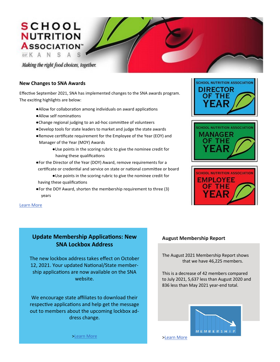## **SCHOOL NUTRITION ASSOCIATION**

OFK A N S A S

Making the right food choices, together.

#### **New Changes to SNA Awards**

Effective September 2021, SNA has implemented changes to the SNA awards program. The exciting highlights are below:

- ●Allow for collaboration among individuals on award applications
- ●Allow self nominations
- ●Change regional judging to an ad-hoc committee of volunteers
- ●Develop tools for state leaders to market and judge the state awards
- ●Remove certificate requirement for the Employee of the Year (EOY) and Manager of the Year (MOY) Awards
	- ●Use points in the scoring rubric to give the nominee credit for having these qualifications
- ●For the Director of the Year (DOY) Award, remove requirements for a certificate or credential and service on state or national committee or board
- ●Use points in the scoring rubric to give the nominee credit for having these qualifications
- ●For the DOY Award, shorten the membership requirement to three (3) years







Learn More

## **Update Membership Applications: New SNA Lockbox Address**

The new lockbox address takes effect on October 12, 2021. Your updated National/State membership applications are now available on the SNA website.

We encourage state affiliates to download their respective applications and help get the message out to members about the upcoming lockbox address change.

### **August Membership Report**

The August 2021 Membership Report shows that we have 46,225 members.

This is a decrease of 42 members compared to July 2021, 5,637 less than August 2020 and 836 less than May 2021 year-end total.



>Learn More

>Learn More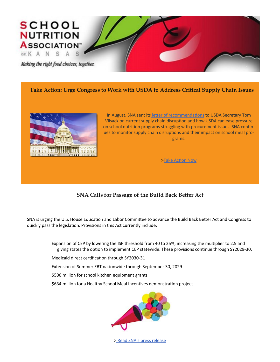

### **Take Action: Urge Congress to Work with USDA to Address Critical Supply Chain Issues**



In August, SNA sent its letter of recommendations to USDA Secretary Tom Vilsack on current supply chain disruption and how USDA can ease pressure on school nutrition programs struggling with procurement issues. SNA continues to monitor supply chain disruptions and their impact on school meal programs.

>Take Action Now

## **SNA Calls for Passage of the Build Back Better Act**

SNA is urging the U.S. House Education and Labor Committee to advance the Build Back Better Act and Congress to quickly pass the legislation. Provisions in this Act currently include:

> Expansion of CEP by lowering the ISP threshold from 40 to 25%, increasing the multiplier to 2.5 and giving states the option to implement CEP statewide. These provisions continue through SY2029-30.

- Medicaid direct certification through SY2030-31
- Extension of Summer EBT nationwide through September 30, 2029
- \$500 million for school kitchen equipment grants
- \$634 million for a Healthy School Meal incentives demonstration project



> Read SNA's press release